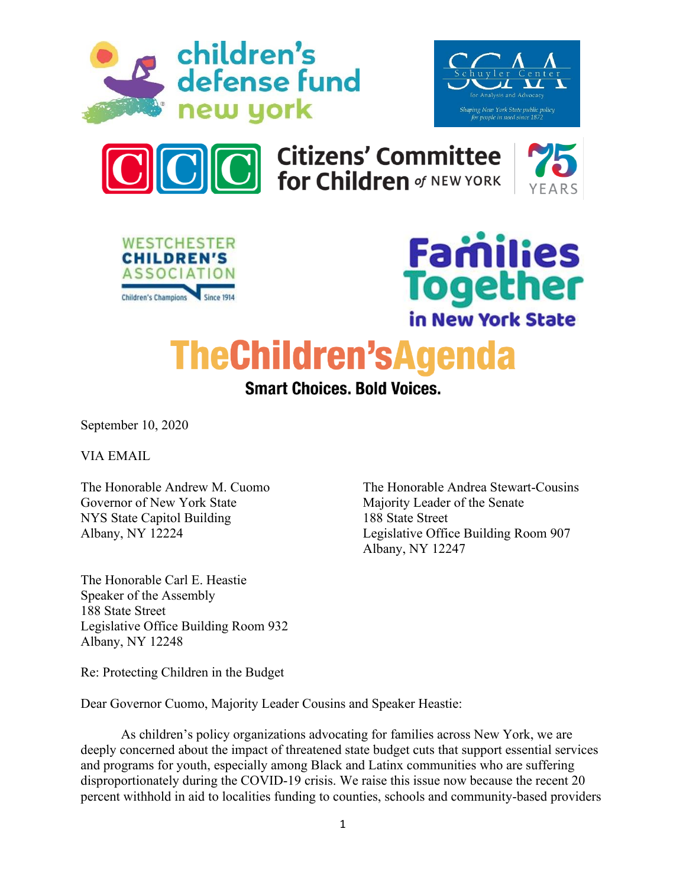





**Citizens' Committee<br>for Children of NEW YORK** 







**TheChildren'sAgenda** 

**Smart Choices. Bold Voices.** 

Albany, NY 12247

September 10, 2020

VIA EMAIL

The Honorable Andrew M. Cuomo The Honorable Andrea Stewart-Cousins Governor of New York State Majority Leader of the Senate NYS State Capitol Building 188 State Street Albany, NY 12224 Legislative Office Building Room 907

The Honorable Carl E. Heastie Speaker of the Assembly 188 State Street Legislative Office Building Room 932 Albany, NY 12248

Re: Protecting Children in the Budget

Dear Governor Cuomo, Majority Leader Cousins and Speaker Heastie:

As children's policy organizations advocating for families across New York, we are deeply concerned about the impact of threatened state budget cuts that support essential services and programs for youth, especially among Black and Latinx communities who are suffering disproportionately during the COVID-19 crisis. We raise this issue now because the recent 20 percent withhold in aid to localities funding to counties, schools and community-based providers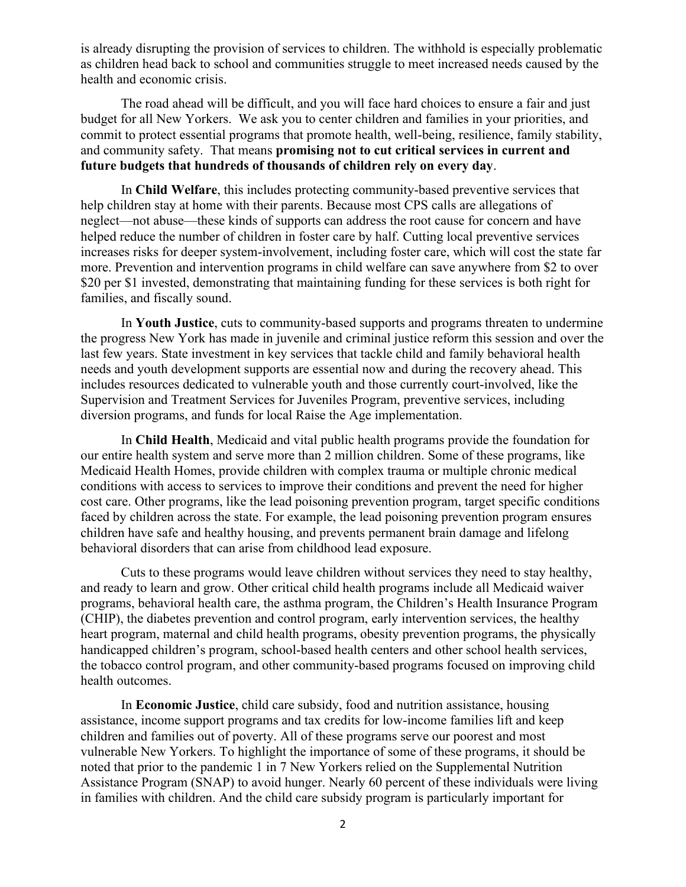is already disrupting the provision of services to children. The withhold is especially problematic as children head back to school and communities struggle to meet increased needs caused by the health and economic crisis.

The road ahead will be difficult, and you will face hard choices to ensure a fair and just budget for all New Yorkers. We ask you to center children and families in your priorities, and commit to protect essential programs that promote health, well-being, resilience, family stability, and community safety. That means **promising not to cut critical services in current and future budgets that hundreds of thousands of children rely on every day**.

In **Child Welfare**, this includes protecting community-based preventive services that help children stay at home with their parents. Because most CPS calls are allegations of neglect—not abuse—these kinds of supports can address the root cause for concern and have helped reduce the number of children in foster care by half. Cutting local preventive services increases risks for deeper system-involvement, including foster care, which will cost the state far more. Prevention and intervention programs in child welfare can save anywhere from \$2 to over \$20 per \$1 invested, demonstrating that maintaining funding for these services is both right for families, and fiscally sound.

In **Youth Justice**, cuts to community-based supports and programs threaten to undermine the progress New York has made in juvenile and criminal justice reform this session and over the last few years. State investment in key services that tackle child and family behavioral health needs and youth development supports are essential now and during the recovery ahead. This includes resources dedicated to vulnerable youth and those currently court-involved, like the Supervision and Treatment Services for Juveniles Program, preventive services, including diversion programs, and funds for local Raise the Age implementation.

In **Child Health**, Medicaid and vital public health programs provide the foundation for our entire health system and serve more than 2 million children. Some of these programs, like Medicaid Health Homes, provide children with complex trauma or multiple chronic medical conditions with access to services to improve their conditions and prevent the need for higher cost care. Other programs, like the lead poisoning prevention program, target specific conditions faced by children across the state. For example, the lead poisoning prevention program ensures children have safe and healthy housing, and prevents permanent brain damage and lifelong behavioral disorders that can arise from childhood lead exposure.

Cuts to these programs would leave children without services they need to stay healthy, and ready to learn and grow. Other critical child health programs include all Medicaid waiver programs, behavioral health care, the asthma program, the Children's Health Insurance Program (CHIP), the diabetes prevention and control program, early intervention services, the healthy heart program, maternal and child health programs, obesity prevention programs, the physically handicapped children's program, school-based health centers and other school health services, the tobacco control program, and other community-based programs focused on improving child health outcomes.

In **Economic Justice**, child care subsidy, food and nutrition assistance, housing assistance, income support programs and tax credits for low-income families lift and keep children and families out of poverty. All of these programs serve our poorest and most vulnerable New Yorkers. To highlight the importance of some of these programs, it should be noted that prior to the pandemic 1 in 7 New Yorkers relied on the Supplemental Nutrition Assistance Program (SNAP) to avoid hunger. Nearly 60 percent of these individuals were living in families with children. And the child care subsidy program is particularly important for